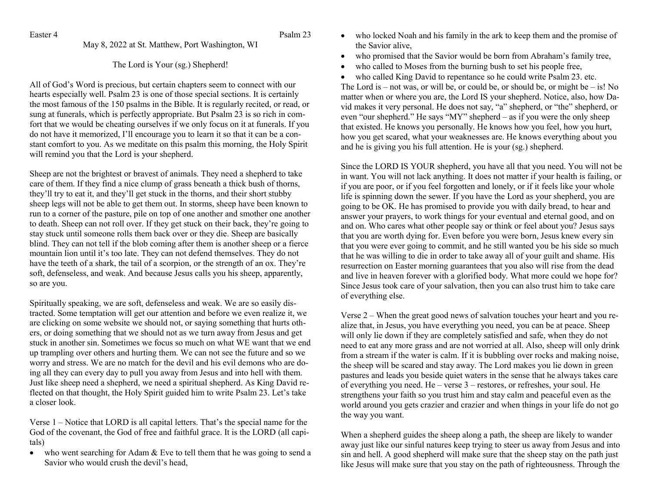Easter 4 Psalm 23

May 8, 2022 at St. Matthew, Port Washington, WI

The Lord is Your (sg.) Shepherd!

All of God's Word is precious, but certain chapters seem to connect with our hearts especially well. Psalm 23 is one of those special sections. It is certainly the most famous of the 150 psalms in the Bible. It is regularly recited, or read, or sung at funerals, which is perfectly appropriate. But Psalm 23 is so rich in comfort that we would be cheating ourselves if we only focus on it at funerals. If you do not have it memorized, I'll encourage you to learn it so that it can be a constant comfort to you. As we meditate on this psalm this morning, the Holy Spirit will remind you that the Lord is your shepherd.

Sheep are not the brightest or bravest of animals. They need a shepherd to take care of them. If they find a nice clump of grass beneath a thick bush of thorns, they'll try to eat it, and they'll get stuck in the thorns, and their short stubby sheep legs will not be able to get them out. In storms, sheep have been known to run to a corner of the pasture, pile on top of one another and smother one another to death. Sheep can not roll over. If they get stuck on their back, they're going to stay stuck until someone rolls them back over or they die. Sheep are basically blind. They can not tell if the blob coming after them is another sheep or a fierce mountain lion until it's too late. They can not defend themselves. They do not have the teeth of a shark, the tail of a scorpion, or the strength of an ox. They're soft, defenseless, and weak. And because Jesus calls you his sheep, apparently, so are you.

Spiritually speaking, we are soft, defenseless and weak. We are so easily distracted. Some temptation will get our attention and before we even realize it, we are clicking on some website we should not, or saying something that hurts others, or doing something that we should not as we turn away from Jesus and get stuck in another sin. Sometimes we focus so much on what WE want that we end up trampling over others and hurting them. We can not see the future and so we worry and stress. We are no match for the devil and his evil demons who are doing all they can every day to pull you away from Jesus and into hell with them. Just like sheep need a shepherd, we need a spiritual shepherd. As King David reflected on that thought, the Holy Spirit guided him to write Psalm 23. Let's take a closer look.

Verse 1 – Notice that LORD is all capital letters. That's the special name for the God of the covenant, the God of free and faithful grace. It is the LORD (all capitals)

• who went searching for Adam & Eve to tell them that he was going to send a Savior who would crush the devil's head,

- who locked Noah and his family in the ark to keep them and the promise of the Savior alive,
- who promised that the Savior would be born from Abraham's family tree,
- who called to Moses from the burning bush to set his people free,
- who called King David to repentance so he could write Psalm 23. etc.

The Lord is – not was, or will be, or could be, or should be, or might be – is! No matter when or where you are, the Lord IS your shepherd. Notice, also, how David makes it very personal. He does not say, "a" shepherd, or "the" shepherd, or even "our shepherd." He says "MY" shepherd – as if you were the only sheep that existed. He knows you personally. He knows how you feel, how you hurt, how you get scared, what your weaknesses are. He knows everything about you and he is giving you his full attention. He is your (sg.) shepherd.

Since the LORD IS YOUR shepherd, you have all that you need. You will not be in want. You will not lack anything. It does not matter if your health is failing, or if you are poor, or if you feel forgotten and lonely, or if it feels like your whole life is spinning down the sewer. If you have the Lord as your shepherd, you are going to be OK. He has promised to provide you with daily bread, to hear and answer your prayers, to work things for your eventual and eternal good, and on and on. Who cares what other people say or think or feel about you? Jesus says that you are worth dying for. Even before you were born, Jesus knew every sin that you were ever going to commit, and he still wanted you be his side so much that he was willing to die in order to take away all of your guilt and shame. His resurrection on Easter morning guarantees that you also will rise from the dead and live in heaven forever with a glorified body. What more could we hope for? Since Jesus took care of your salvation, then you can also trust him to take care of everything else.

Verse 2 – When the great good news of salvation touches your heart and you realize that, in Jesus, you have everything you need, you can be at peace. Sheep will only lie down if they are completely satisfied and safe, when they do not need to eat any more grass and are not worried at all. Also, sheep will only drink from a stream if the water is calm. If it is bubbling over rocks and making noise, the sheep will be scared and stay away. The Lord makes you lie down in green pastures and leads you beside quiet waters in the sense that he always takes care of everything you need. He – verse 3 – restores, or refreshes, your soul. He strengthens your faith so you trust him and stay calm and peaceful even as the world around you gets crazier and crazier and when things in your life do not go the way you want.

When a shepherd guides the sheep along a path, the sheep are likely to wander away just like our sinful natures keep trying to steer us away from Jesus and into sin and hell. A good shepherd will make sure that the sheep stay on the path just like Jesus will make sure that you stay on the path of righteousness. Through the